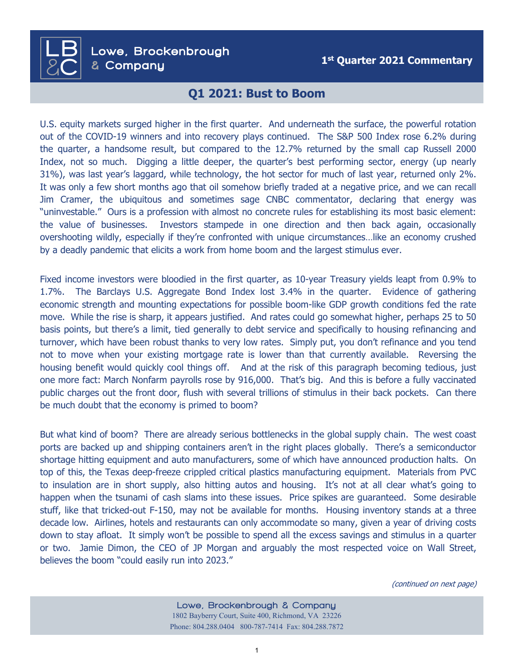**1st Quarter 2021 Commentary** Lowe, Brockenbrough & Company

 $\overline{\mathsf{LB}}$ 

**&**C

## **Q1 2021: Bust to Boom**

U.S. equity markets surged higher in the first quarter. And underneath the surface, the powerful rotation out of the COVID-19 winners and into recovery plays continued. The S&P 500 Index rose 6.2% during the quarter, a handsome result, but compared to the 12.7% returned by the small cap Russell 2000 Index, not so much. Digging a little deeper, the quarter's best performing sector, energy (up nearly 31%), was last year's laggard, while technology, the hot sector for much of last year, returned only 2%. It was only a few short months ago that oil somehow briefly traded at a negative price, and we can recall Jim Cramer, the ubiquitous and sometimes sage CNBC commentator, declaring that energy was "uninvestable." Ours is a profession with almost no concrete rules for establishing its most basic element: the value of businesses. Investors stampede in one direction and then back again, occasionally overshooting wildly, especially if they're confronted with unique circumstances…like an economy crushed by a deadly pandemic that elicits a work from home boom and the largest stimulus ever.

Fixed income investors were bloodied in the first quarter, as 10-year Treasury yields leapt from 0.9% to 1.7%. The Barclays U.S. Aggregate Bond Index lost 3.4% in the quarter. Evidence of gathering economic strength and mounting expectations for possible boom-like GDP growth conditions fed the rate move. While the rise is sharp, it appears justified. And rates could go somewhat higher, perhaps 25 to 50 basis points, but there's a limit, tied generally to debt service and specifically to housing refinancing and turnover, which have been robust thanks to very low rates. Simply put, you don't refinance and you tend not to move when your existing mortgage rate is lower than that currently available. Reversing the housing benefit would quickly cool things off. And at the risk of this paragraph becoming tedious, just one more fact: March Nonfarm payrolls rose by 916,000. That's big. And this is before a fully vaccinated public charges out the front door, flush with several trillions of stimulus in their back pockets. Can there be much doubt that the economy is primed to boom?

But what kind of boom? There are already serious bottlenecks in the global supply chain. The west coast ports are backed up and shipping containers aren't in the right places globally. There's a semiconductor shortage hitting equipment and auto manufacturers, some of which have announced production halts. On top of this, the Texas deep-freeze crippled critical plastics manufacturing equipment. Materials from PVC to insulation are in short supply, also hitting autos and housing. It's not at all clear what's going to happen when the tsunami of cash slams into these issues. Price spikes are guaranteed. Some desirable stuff, like that tricked-out F-150, may not be available for months. Housing inventory stands at a three decade low. Airlines, hotels and restaurants can only accommodate so many, given a year of driving costs down to stay afloat. It simply won't be possible to spend all the excess savings and stimulus in a quarter or two. Jamie Dimon, the CEO of JP Morgan and arguably the most respected voice on Wall Street, believes the boom "could easily run into 2023."

(continued on next page)

Lowe, Brockenbrough & Company 1802 Bayberry Court, Suite 400, Richmond, VA 23226 Phone: 804.288.0404 800-787-7414 Fax: 804.288.7872